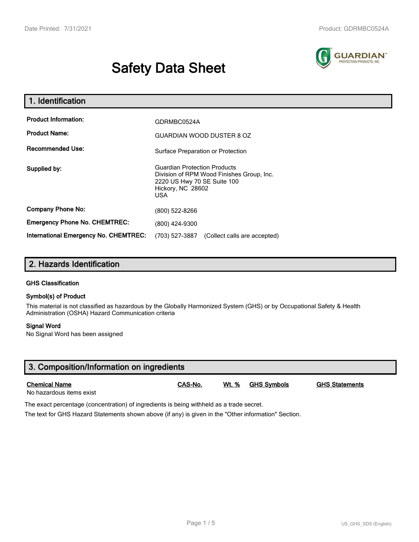# **Safety Data Sheet**



| 1. Identification                     |                                                                                                                                             |  |  |
|---------------------------------------|---------------------------------------------------------------------------------------------------------------------------------------------|--|--|
| <b>Product Information:</b>           | GDRMBC0524A                                                                                                                                 |  |  |
| <b>Product Name:</b>                  | <b>GUARDIAN WOOD DUSTER 8 OZ</b>                                                                                                            |  |  |
| <b>Recommended Use:</b>               | Surface Preparation or Protection                                                                                                           |  |  |
| Supplied by:                          | <b>Guardian Protection Products</b><br>Division of RPM Wood Finishes Group, Inc.<br>2220 US Hwy 70 SE Suite 100<br>Hickory, NC 28602<br>USA |  |  |
| <b>Company Phone No:</b>              | (800) 522-8266                                                                                                                              |  |  |
| <b>Emergency Phone No. CHEMTREC:</b>  | (800) 424-9300                                                                                                                              |  |  |
| International Emergency No. CHEMTREC: | (703) 527-3887<br>(Collect calls are accepted)                                                                                              |  |  |

# **2. Hazards Identification**

#### **GHS Classification**

#### **Symbol(s) of Product**

This material is not classified as hazardous by the Globally Harmonized System (GHS) or by Occupational Safety & Health Administration (OSHA) Hazard Communication criteria

#### **Signal Word**

No Signal Word has been assigned

| 3. Composition/Information on ingredients        |         |       |             |                       |  |
|--------------------------------------------------|---------|-------|-------------|-----------------------|--|
| <b>Chemical Name</b><br>No hazardous items exist | CAS-No. | Wt. % | GHS Symbols | <b>GHS Statements</b> |  |

The exact percentage (concentration) of ingredients is being withheld as a trade secret.

The text for GHS Hazard Statements shown above (if any) is given in the "Other information" Section.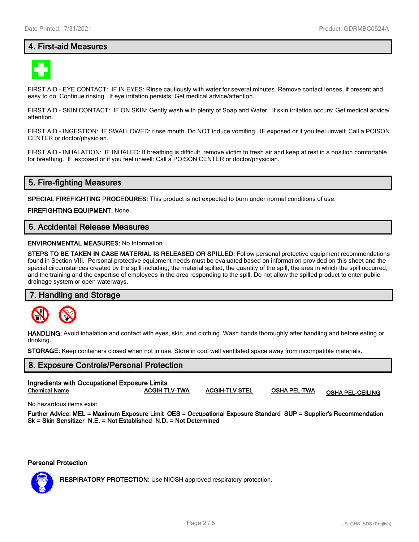## **4. First-aid Measures**



FIRST AID - EYE CONTACT: IF IN EYES: Rinse cautiously with water for several minutes. Remove contact lenses, if present and easy to do. Continue rinsing. If eye irritation persists: Get medical advice/attention.

FIRST AID - SKIN CONTACT: IF ON SKIN: Gently wash with plenty of Soap and Water. If skin irritation occurs: Get medical advice/ attention.

FIRST AID - INGESTION: IF SWALLOWED: rinse mouth. Do NOT induce vomiting. IF exposed or if you feel unwell: Call a POISON CENTER or doctor/physician.

FIRST AID - INHALATION: IF INHALED: If breathing is difficult, remove victim to fresh air and keep at rest in a position comfortable for breathing. IF exposed or if you feel unwell: Call a POISON CENTER or doctor/physician.

## **5. Fire-fighting Measures**

**SPECIAL FIREFIGHTING PROCEDURES:** This product is not expected to burn under normal conditions of use.

**FIREFIGHTING EQUIPMENT:** None.

## **6. Accidental Release Measures**

#### **ENVIRONMENTAL MEASURES:** No Information

**STEPS TO BE TAKEN IN CASE MATERIAL IS RELEASED OR SPILLED:** Follow personal protective equipment recommendations found in Section VIII. Personal protective equipment needs must be evaluated based on information provided on this sheet and the special circumstances created by the spill including; the material spilled, the quantity of the spill, the area in which the spill occurred, and the training and the expertise of employees in the area responding to the spill. Do not allow the spilled product to enter public drainage system or open waterways.

#### **7. Handling and Storage**



**HANDLING:** Avoid inhalation and contact with eyes, skin, and clothing. Wash hands thoroughly after handling and before eating or drinking.

**STORAGE:** Keep containers closed when not in use. Store in cool well ventilated space away from incompatible materials.

# **8. Exposure Controls/Personal Protection Ingredients with Occupational Exposure Limits Chemical Name ACGIH TLV-TWA ACGIH-TLV STEL OSHA PEL-TWA OSHA PEL-CEILING**

No hazardous items exist

**Further Advice: MEL = Maximum Exposure Limit OES = Occupational Exposure Standard SUP = Supplier's Recommendation Sk = Skin Sensitizer N.E. = Not Established N.D. = Not Determined**

**Personal Protection**



**RESPIRATORY PROTECTION:** Use NIOSH approved respiratory protection.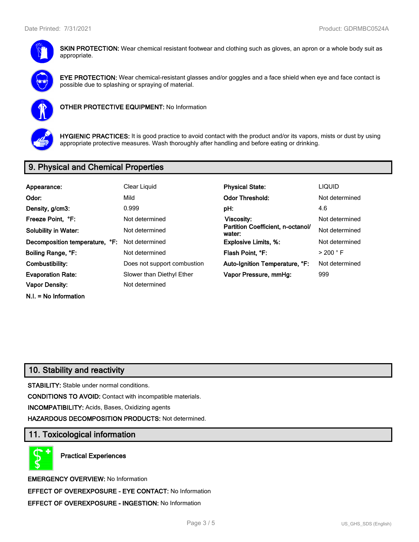

**SKIN PROTECTION:** Wear chemical resistant footwear and clothing such as gloves, an apron or a whole body suit as appropriate.



**EYE PROTECTION:** Wear chemical-resistant glasses and/or goggles and a face shield when eye and face contact is possible due to splashing or spraying of material.



**OTHER PROTECTIVE EQUIPMENT:** No Information



**HYGIENIC PRACTICES:** It is good practice to avoid contact with the product and/or its vapors, mists or dust by using appropriate protective measures. Wash thoroughly after handling and before eating or drinking.

# **9. Physical and Chemical Properties**

| Appearance:                    | Clear Liquid                | <b>Physical State:</b>                      | <b>LIQUID</b>        |
|--------------------------------|-----------------------------|---------------------------------------------|----------------------|
| Odor:                          | Mild                        | <b>Odor Threshold:</b>                      | Not determined       |
| Density, g/cm3:                | 0.999                       | pH:                                         | 4.6                  |
| Freeze Point, °F:              | Not determined              | Viscosity:                                  | Not determined       |
| <b>Solubility in Water:</b>    | Not determined              | Partition Coefficient, n-octanol/<br>water: | Not determined       |
| Decomposition temperature, °F: | Not determined              | <b>Explosive Limits, %:</b>                 | Not determined       |
| Boiling Range, °F:             | Not determined              | Flash Point, °F:                            | $>$ 200 $^{\circ}$ F |
| Combustibility:                | Does not support combustion | Auto-Ignition Temperature, °F:              | Not determined       |
| <b>Evaporation Rate:</b>       | Slower than Diethyl Ether   | Vapor Pressure, mmHg:                       | 999                  |
| <b>Vapor Density:</b>          | Not determined              |                                             |                      |
| $N.I. = No Information$        |                             |                                             |                      |

# **10. Stability and reactivity**

**STABILITY:** Stable under normal conditions.

**CONDITIONS TO AVOID:** Contact with incompatible materials.

**INCOMPATIBILITY:** Acids, Bases, Oxidizing agents

**HAZARDOUS DECOMPOSITION PRODUCTS:** Not determined.

## **11. Toxicological information**

**Practical Experiences**

**EMERGENCY OVERVIEW:** No Information **EFFECT OF OVEREXPOSURE - EYE CONTACT:** No Information **EFFECT OF OVEREXPOSURE - INGESTION:** No Information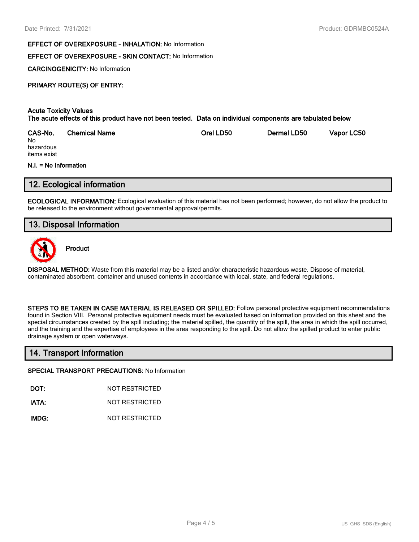#### **EFFECT OF OVEREXPOSURE - INHALATION:** No Information

## **EFFECT OF OVEREXPOSURE - SKIN CONTACT:** No Information

**CARCINOGENICITY:** No Information

## **PRIMARY ROUTE(S) OF ENTRY:**

#### **Acute Toxicity Values The acute effects of this product have not been tested. Data on individual components are tabulated below**

| CAS-No.   | Chemical Name | Oral LD50 | Dermal LD50 | Vapor LC50 |
|-----------|---------------|-----------|-------------|------------|
| No        |               |           |             |            |
| hazardous |               |           |             |            |

hazardous items exist

#### **N.I. = No Information**

## **12. Ecological information**

**ECOLOGICAL INFORMATION:** Ecological evaluation of this material has not been performed; however, do not allow the product to be released to the environment without governmental approval/permits.

## **13. Disposal Information**



**Product**

**DISPOSAL METHOD:** Waste from this material may be a listed and/or characteristic hazardous waste. Dispose of material, contaminated absorbent, container and unused contents in accordance with local, state, and federal regulations.

**STEPS TO BE TAKEN IN CASE MATERIAL IS RELEASED OR SPILLED:** Follow personal protective equipment recommendations found in Section VIII. Personal protective equipment needs must be evaluated based on information provided on this sheet and the special circumstances created by the spill including; the material spilled, the quantity of the spill, the area in which the spill occurred, and the training and the expertise of employees in the area responding to the spill. Do not allow the spilled product to enter public drainage system or open waterways.

## **14. Transport Information**

#### **SPECIAL TRANSPORT PRECAUTIONS:** No Information

**DOT:** NOT RESTRICTED

**IATA:** NOT RESTRICTED

**IMDG:** NOT RESTRICTED